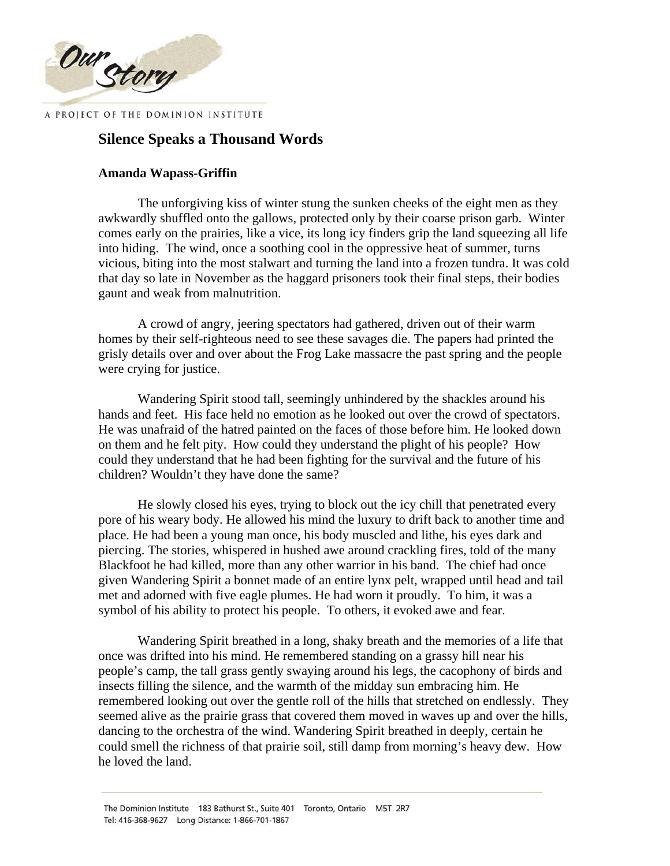

## **Silence Speaks a Thousand Words**

## **Amanda Wapass-Griffin**

The unforgiving kiss of winter stung the sunken cheeks of the eight men as they awkwardly shuffled onto the gallows, protected only by their coarse prison garb. Winter comes early on the prairies, like a vice, its long icy finders grip the land squeezing all life into hiding. The wind, once a soothing cool in the oppressive heat of summer, turns vicious, biting into the most stalwart and turning the land into a frozen tundra. It was cold that day so late in November as the haggard prisoners took their final steps, their bodies gaunt and weak from malnutrition.

A crowd of angry, jeering spectators had gathered, driven out of their warm homes by their self-righteous need to see these savages die. The papers had printed the grisly details over and over about the Frog Lake massacre the past spring and the people were crying for justice.

Wandering Spirit stood tall, seemingly unhindered by the shackles around his hands and feet. His face held no emotion as he looked out over the crowd of spectators. He was unafraid of the hatred painted on the faces of those before him. He looked down on them and he felt pity. How could they understand the plight of his people? How could they understand that he had been fighting for the survival and the future of his children? Wouldn't they have done the same?

He slowly closed his eyes, trying to block out the icy chill that penetrated every pore of his weary body. He allowed his mind the luxury to drift back to another time and place. He had been a young man once, his body muscled and lithe, his eyes dark and piercing. The stories, whispered in hushed awe around crackling fires, told of the many Blackfoot he had killed, more than any other warrior in his band. The chief had once given Wandering Spirit a bonnet made of an entire lynx pelt, wrapped until head and tail met and adorned with five eagle plumes. He had worn it proudly. To him, it was a symbol of his ability to protect his people. To others, it evoked awe and fear.

Wandering Spirit breathed in a long, shaky breath and the memories of a life that once was drifted into his mind. He remembered standing on a grassy hill near his people's camp, the tall grass gently swaying around his legs, the cacophony of birds and insects filling the silence, and the warmth of the midday sun embracing him. He remembered looking out over the gentle roll of the hills that stretched on endlessly. They seemed alive as the prairie grass that covered them moved in waves up and over the hills, dancing to the orchestra of the wind. Wandering Spirit breathed in deeply, certain he could smell the richness of that prairie soil, still damp from morning's heavy dew. How he loved the land.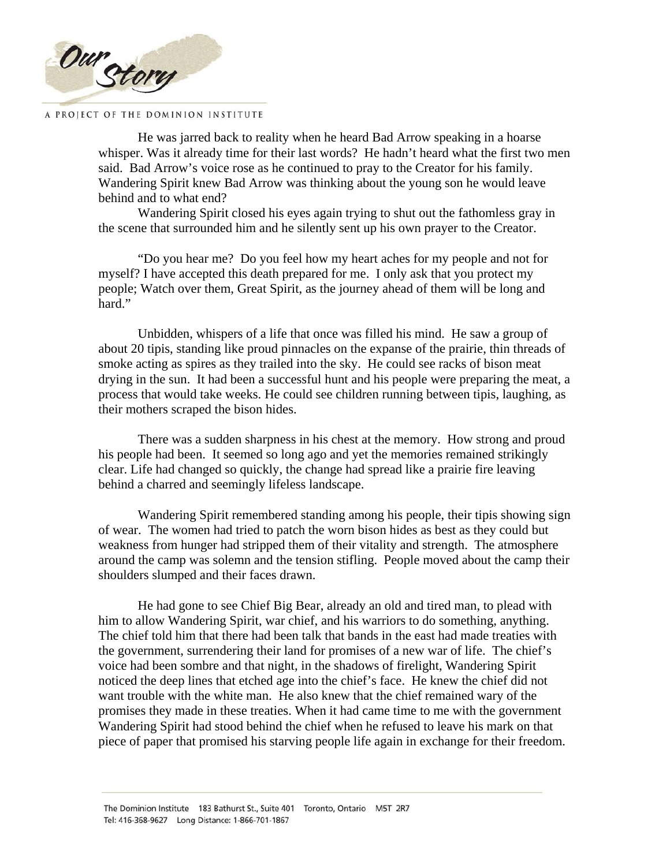

He was jarred back to reality when he heard Bad Arrow speaking in a hoarse whisper. Was it already time for their last words? He hadn't heard what the first two men said. Bad Arrow's voice rose as he continued to pray to the Creator for his family. Wandering Spirit knew Bad Arrow was thinking about the young son he would leave behind and to what end?

Wandering Spirit closed his eyes again trying to shut out the fathomless gray in the scene that surrounded him and he silently sent up his own prayer to the Creator.

"Do you hear me? Do you feel how my heart aches for my people and not for myself? I have accepted this death prepared for me. I only ask that you protect my people; Watch over them, Great Spirit, as the journey ahead of them will be long and hard."

Unbidden, whispers of a life that once was filled his mind. He saw a group of about 20 tipis, standing like proud pinnacles on the expanse of the prairie, thin threads of smoke acting as spires as they trailed into the sky. He could see racks of bison meat drying in the sun. It had been a successful hunt and his people were preparing the meat, a process that would take weeks. He could see children running between tipis, laughing, as their mothers scraped the bison hides.

There was a sudden sharpness in his chest at the memory. How strong and proud his people had been. It seemed so long ago and yet the memories remained strikingly clear. Life had changed so quickly, the change had spread like a prairie fire leaving behind a charred and seemingly lifeless landscape.

Wandering Spirit remembered standing among his people, their tipis showing sign of wear. The women had tried to patch the worn bison hides as best as they could but weakness from hunger had stripped them of their vitality and strength. The atmosphere around the camp was solemn and the tension stifling. People moved about the camp their shoulders slumped and their faces drawn.

He had gone to see Chief Big Bear, already an old and tired man, to plead with him to allow Wandering Spirit, war chief, and his warriors to do something, anything. The chief told him that there had been talk that bands in the east had made treaties with the government, surrendering their land for promises of a new war of life. The chief's voice had been sombre and that night, in the shadows of firelight, Wandering Spirit noticed the deep lines that etched age into the chief's face. He knew the chief did not want trouble with the white man. He also knew that the chief remained wary of the promises they made in these treaties. When it had came time to me with the government Wandering Spirit had stood behind the chief when he refused to leave his mark on that piece of paper that promised his starving people life again in exchange for their freedom.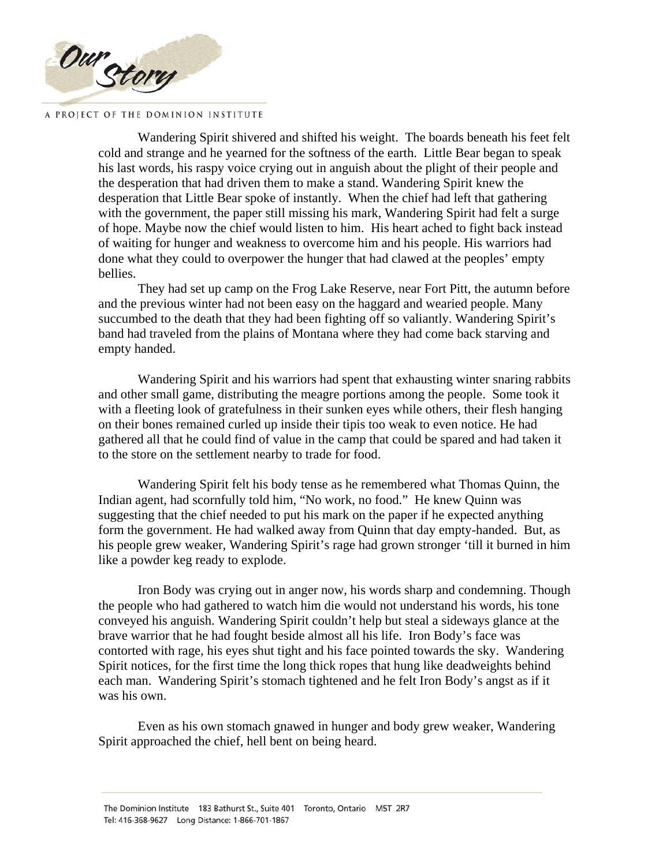

Wandering Spirit shivered and shifted his weight. The boards beneath his feet felt cold and strange and he yearned for the softness of the earth. Little Bear began to speak his last words, his raspy voice crying out in anguish about the plight of their people and the desperation that had driven them to make a stand. Wandering Spirit knew the desperation that Little Bear spoke of instantly. When the chief had left that gathering with the government, the paper still missing his mark, Wandering Spirit had felt a surge of hope. Maybe now the chief would listen to him. His heart ached to fight back instead of waiting for hunger and weakness to overcome him and his people. His warriors had done what they could to overpower the hunger that had clawed at the peoples' empty bellies.

They had set up camp on the Frog Lake Reserve, near Fort Pitt, the autumn before and the previous winter had not been easy on the haggard and wearied people. Many succumbed to the death that they had been fighting off so valiantly. Wandering Spirit's band had traveled from the plains of Montana where they had come back starving and empty handed.

Wandering Spirit and his warriors had spent that exhausting winter snaring rabbits and other small game, distributing the meagre portions among the people. Some took it with a fleeting look of gratefulness in their sunken eyes while others, their flesh hanging on their bones remained curled up inside their tipis too weak to even notice. He had gathered all that he could find of value in the camp that could be spared and had taken it to the store on the settlement nearby to trade for food.

Wandering Spirit felt his body tense as he remembered what Thomas Quinn, the Indian agent, had scornfully told him, "No work, no food." He knew Quinn was suggesting that the chief needed to put his mark on the paper if he expected anything form the government. He had walked away from Quinn that day empty-handed. But, as his people grew weaker, Wandering Spirit's rage had grown stronger 'till it burned in him like a powder keg ready to explode.

Iron Body was crying out in anger now, his words sharp and condemning. Though the people who had gathered to watch him die would not understand his words, his tone conveyed his anguish. Wandering Spirit couldn't help but steal a sideways glance at the brave warrior that he had fought beside almost all his life. Iron Body's face was contorted with rage, his eyes shut tight and his face pointed towards the sky. Wandering Spirit notices, for the first time the long thick ropes that hung like deadweights behind each man. Wandering Spirit's stomach tightened and he felt Iron Body's angst as if it was his own.

Even as his own stomach gnawed in hunger and body grew weaker, Wandering Spirit approached the chief, hell bent on being heard.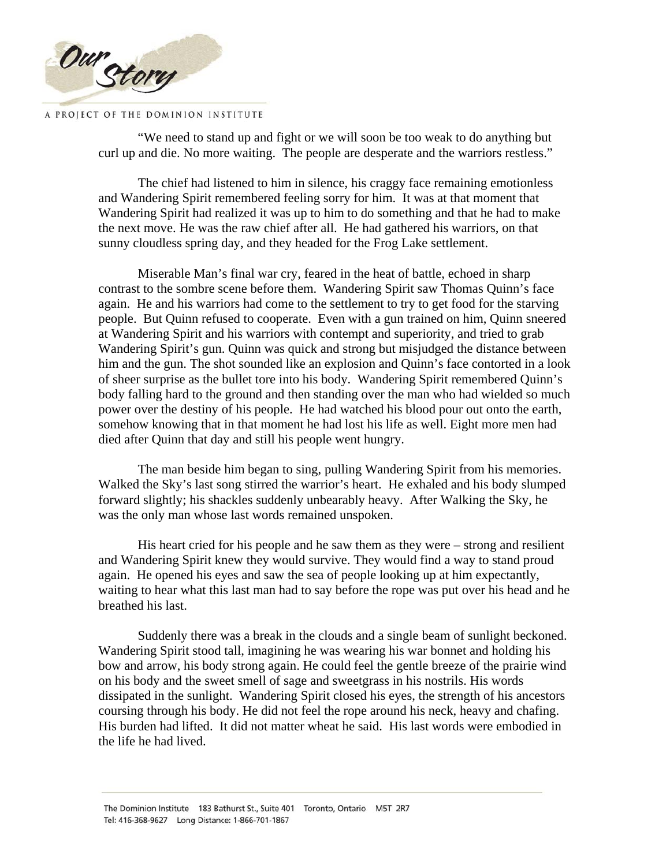

"We need to stand up and fight or we will soon be too weak to do anything but curl up and die. No more waiting. The people are desperate and the warriors restless."

The chief had listened to him in silence, his craggy face remaining emotionless and Wandering Spirit remembered feeling sorry for him. It was at that moment that Wandering Spirit had realized it was up to him to do something and that he had to make the next move. He was the raw chief after all. He had gathered his warriors, on that sunny cloudless spring day, and they headed for the Frog Lake settlement.

Miserable Man's final war cry, feared in the heat of battle, echoed in sharp contrast to the sombre scene before them. Wandering Spirit saw Thomas Quinn's face again. He and his warriors had come to the settlement to try to get food for the starving people. But Quinn refused to cooperate. Even with a gun trained on him, Quinn sneered at Wandering Spirit and his warriors with contempt and superiority, and tried to grab Wandering Spirit's gun. Quinn was quick and strong but misjudged the distance between him and the gun. The shot sounded like an explosion and Quinn's face contorted in a look of sheer surprise as the bullet tore into his body. Wandering Spirit remembered Quinn's body falling hard to the ground and then standing over the man who had wielded so much power over the destiny of his people. He had watched his blood pour out onto the earth, somehow knowing that in that moment he had lost his life as well. Eight more men had died after Quinn that day and still his people went hungry.

The man beside him began to sing, pulling Wandering Spirit from his memories. Walked the Sky's last song stirred the warrior's heart. He exhaled and his body slumped forward slightly; his shackles suddenly unbearably heavy. After Walking the Sky, he was the only man whose last words remained unspoken.

His heart cried for his people and he saw them as they were – strong and resilient and Wandering Spirit knew they would survive. They would find a way to stand proud again. He opened his eyes and saw the sea of people looking up at him expectantly, waiting to hear what this last man had to say before the rope was put over his head and he breathed his last.

Suddenly there was a break in the clouds and a single beam of sunlight beckoned. Wandering Spirit stood tall, imagining he was wearing his war bonnet and holding his bow and arrow, his body strong again. He could feel the gentle breeze of the prairie wind on his body and the sweet smell of sage and sweetgrass in his nostrils. His words dissipated in the sunlight. Wandering Spirit closed his eyes, the strength of his ancestors coursing through his body. He did not feel the rope around his neck, heavy and chafing. His burden had lifted. It did not matter wheat he said. His last words were embodied in the life he had lived.